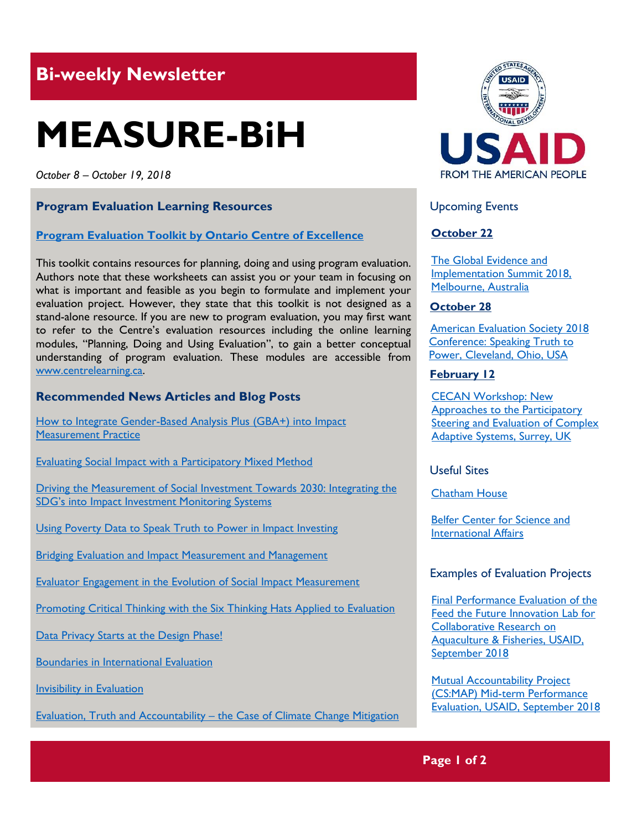## **Bi-weekly Newsletter**

# **MEASURE-BiH**

*October 8 – October 19, 2018*

#### **Program Evaluation Learning Resources**

#### **[Program Evaluation Toolkit by Ontario Centre of Excellence](http://www.excellenceforchildandyouth.ca/file/9081/download?token=rLPLwcXk)**

This toolkit contains resources for planning, doing and using program evaluation. Authors note that these worksheets can assist you or your team in focusing on what is important and feasible as you begin to formulate and implement your evaluation project. However, they state that this toolkit is not designed as a stand-alone resource. If you are new to program evaluation, you may first want to refer to the Centre's evaluation resources including the online learning modules, "Planning, Doing and Using Evaluation", to gain a better conceptual understanding of program evaluation. These modules are accessible from [www.centrelearning.ca.](http://www.centrelearning.ca/)

#### **Recommended News Articles and Blog Posts**

How to Integrate Gender-Based Analysis Plus (GBA+) into Impact [Measurement Practice](https://aea365.org/blog/sim-tig-week-how-to-integrate-gender-based-analysis-plus-gba-into-impact-measurement-practice-by-victoria-carlan/)

[Evaluating Social Impact with a Participatory Mixed Method](https://aea365.org/blog/sim-tig-week-evaluating-social-impact-with-a-participatory-mixed-method-by-carter-garber/)

[Driving the Measurement of Social Investment Towards 2030: Integrating the](https://aea365.org/blog/sim-tig-week-driving-the-measurement-of-social-investment-towards-2030-integrating-the-sdgs-into-impact-investment-monitoring-systems-by-debby-nixon-williams-noel-verrinder-and-kagiso-zwan/)  [SDG's into Impact Investment Monitoring Systems](https://aea365.org/blog/sim-tig-week-driving-the-measurement-of-social-investment-towards-2030-integrating-the-sdgs-into-impact-investment-monitoring-systems-by-debby-nixon-williams-noel-verrinder-and-kagiso-zwan/)

[Using Poverty Data to Speak Truth to Power in Impact Investing](https://aea365.org/blog/sim-tig-week-using-poverty-data-to-speak-truth-to-power-in-impact-investing-by-heather-esper/)

[Bridging Evaluation and Impact Measurement and Management](https://aea365.org/blog/sim-tig-week-bridging-evaluation-and-impact-measurement-and-management-by-sara-mcgarraugh-leah-goldstein-moses-and-ben-fowler/)

[Evaluator Engagement in the Evolution of Social Impact Measurement](https://aea365.org/blog/sim-tig-week-evaluator-engagement-in-the-evolution-of-social-impact-measurement-by-jane-reisman-and-alyna-wyatt/)

[Promoting Critical Thinking with the Six Thinking Hats Applied to Evaluation](https://aea365.org/blog/promoting-critical-thinking-with-the-six-thinking-hats-applied-to-evaluation-by-sara-vaca/)

[Data Privacy Starts at the Design Phase!](https://aea365.org/blog/icce-tig-week-data-privacy-starts-at-the-design-phase-by-linda-raftree/)

[Boundaries in International Evaluation](https://aea365.org/blog/icce-tig-week-boundaries-in-international-evaluation-by-michele-tarsilla/)

[Invisibility in Evaluation](https://aea365.org/blog/icce-tig-week-invisibility-in-evaluation-by-stephen-porter/)

Evaluation, Truth and Accountability – [the Case of Climate Change Mitigation](https://aea365.org/blog/aea365-icce-tig-week-evaluation-truth-and-accountability-the-case-of-climate-change-mitigation-by-scott-chaplowe/)



Upcoming Events

#### **October 22**

[The Global Evidence](https://www.geis2018.org/) and [Implementation Summit 2018,](https://www.geis2018.org/) [Melbourne, Australia](https://www.geis2018.org/)

#### **October 28**

 [American Evaluation Society 2018](http://mande.co.uk/conferences/?event_id1=7113)   [Conference: Speaking Truth to](http://mande.co.uk/conferences/?event_id1=7113)   [Power, Cleveland, Ohio, USA](http://mande.co.uk/conferences/?event_id1=7113) 

#### **February 12**

[CECAN Workshop: New](https://www.cecan.ac.uk/events/cecan-workshop-new-approaches-to-participatory-steering-and-evaluation-of-complex-adaptive)  [Approaches to the Participatory](https://www.cecan.ac.uk/events/cecan-workshop-new-approaches-to-participatory-steering-and-evaluation-of-complex-adaptive)  [Steering and Evaluation of Complex](https://www.cecan.ac.uk/events/cecan-workshop-new-approaches-to-participatory-steering-and-evaluation-of-complex-adaptive)  [Adaptive Systems, Surrey, UK](https://www.cecan.ac.uk/events/cecan-workshop-new-approaches-to-participatory-steering-and-evaluation-of-complex-adaptive) 

Useful Sites

[Chatham House](https://www.chathamhouse.org/)

Belfer [Center for Science and](https://www.belfercenter.org/)  [International Affairs](https://www.belfercenter.org/)

#### Examples of Evaluation Projects

[Final Performance Evaluation of the](https://dec.usaid.gov/dec/content/Detail_Presto.aspx?ctID=ODVhZjk4NWQtM2YyMi00YjRmLTkxNjktZTcxMjM2NDBmY2Uy&rID=NTEyNzg2&qrs=RmFsc2U%3d&q=KERvY3VtZW50cy5CaWJ0eXBlX05hbWU6KCgiU3BlY2lhbCBFdmFsdWF0aW9uIikgT1IgKCJGaW5hbCBFdmFsdWF0aW9uIFJlcG9ydCIpKSk%3d&swi=RmluYWwgUGVyZm9ybWFuY2UgRXZhbHVhdGlvbiBvZiB0aGUgRmVlZCB0aGUgRnV0dXJlIElubm92YXRpb24gTGFiIGZvciBDb2xsYWJvcmF0aXZlIFJlc2VhcmNoIG9uIEFxdWFjdWx0dXJlICYgRmlzaGVyaWVz&ph=VHJ1ZQ%3d%3d&bckToL=VHJ1ZQ%3d%3d&rrtc=VHJ1ZQ%3d%3d)  Feed [the Future Innovation Lab for](https://dec.usaid.gov/dec/content/Detail_Presto.aspx?ctID=ODVhZjk4NWQtM2YyMi00YjRmLTkxNjktZTcxMjM2NDBmY2Uy&rID=NTEyNzg2&qrs=RmFsc2U%3d&q=KERvY3VtZW50cy5CaWJ0eXBlX05hbWU6KCgiU3BlY2lhbCBFdmFsdWF0aW9uIikgT1IgKCJGaW5hbCBFdmFsdWF0aW9uIFJlcG9ydCIpKSk%3d&swi=RmluYWwgUGVyZm9ybWFuY2UgRXZhbHVhdGlvbiBvZiB0aGUgRmVlZCB0aGUgRnV0dXJlIElubm92YXRpb24gTGFiIGZvciBDb2xsYWJvcmF0aXZlIFJlc2VhcmNoIG9uIEFxdWFjdWx0dXJlICYgRmlzaGVyaWVz&ph=VHJ1ZQ%3d%3d&bckToL=VHJ1ZQ%3d%3d&rrtc=VHJ1ZQ%3d%3d)  [Collaborative Research on](https://dec.usaid.gov/dec/content/Detail_Presto.aspx?ctID=ODVhZjk4NWQtM2YyMi00YjRmLTkxNjktZTcxMjM2NDBmY2Uy&rID=NTEyNzg2&qrs=RmFsc2U%3d&q=KERvY3VtZW50cy5CaWJ0eXBlX05hbWU6KCgiU3BlY2lhbCBFdmFsdWF0aW9uIikgT1IgKCJGaW5hbCBFdmFsdWF0aW9uIFJlcG9ydCIpKSk%3d&swi=RmluYWwgUGVyZm9ybWFuY2UgRXZhbHVhdGlvbiBvZiB0aGUgRmVlZCB0aGUgRnV0dXJlIElubm92YXRpb24gTGFiIGZvciBDb2xsYWJvcmF0aXZlIFJlc2VhcmNoIG9uIEFxdWFjdWx0dXJlICYgRmlzaGVyaWVz&ph=VHJ1ZQ%3d%3d&bckToL=VHJ1ZQ%3d%3d&rrtc=VHJ1ZQ%3d%3d)  [Aquaculture & Fisheries, USAID,](https://dec.usaid.gov/dec/content/Detail_Presto.aspx?ctID=ODVhZjk4NWQtM2YyMi00YjRmLTkxNjktZTcxMjM2NDBmY2Uy&rID=NTEyNzg2&qrs=RmFsc2U%3d&q=KERvY3VtZW50cy5CaWJ0eXBlX05hbWU6KCgiU3BlY2lhbCBFdmFsdWF0aW9uIikgT1IgKCJGaW5hbCBFdmFsdWF0aW9uIFJlcG9ydCIpKSk%3d&swi=RmluYWwgUGVyZm9ybWFuY2UgRXZhbHVhdGlvbiBvZiB0aGUgRmVlZCB0aGUgRnV0dXJlIElubm92YXRpb24gTGFiIGZvciBDb2xsYWJvcmF0aXZlIFJlc2VhcmNoIG9uIEFxdWFjdWx0dXJlICYgRmlzaGVyaWVz&ph=VHJ1ZQ%3d%3d&bckToL=VHJ1ZQ%3d%3d&rrtc=VHJ1ZQ%3d%3d)  [September](https://dec.usaid.gov/dec/content/Detail_Presto.aspx?ctID=ODVhZjk4NWQtM2YyMi00YjRmLTkxNjktZTcxMjM2NDBmY2Uy&rID=NTEyNzg2&qrs=RmFsc2U%3d&q=KERvY3VtZW50cy5CaWJ0eXBlX05hbWU6KCgiU3BlY2lhbCBFdmFsdWF0aW9uIikgT1IgKCJGaW5hbCBFdmFsdWF0aW9uIFJlcG9ydCIpKSk%3d&swi=RmluYWwgUGVyZm9ybWFuY2UgRXZhbHVhdGlvbiBvZiB0aGUgRmVlZCB0aGUgRnV0dXJlIElubm92YXRpb24gTGFiIGZvciBDb2xsYWJvcmF0aXZlIFJlc2VhcmNoIG9uIEFxdWFjdWx0dXJlICYgRmlzaGVyaWVz&ph=VHJ1ZQ%3d%3d&bckToL=VHJ1ZQ%3d%3d&rrtc=VHJ1ZQ%3d%3d) 2018

[Mutual Accountability Project](https://dec.usaid.gov/dec/content/Detail_Presto.aspx?ctID=ODVhZjk4NWQtM2YyMi00YjRmLTkxNjktZTcxMjM2NDBmY2Uy&rID=NTEyOTYx&qrs=RmFsc2U%3d&q=KERvY3VtZW50cy5CaWJ0eXBlX05hbWU6KCgiU3BlY2lhbCBFdmFsdWF0aW9uIikgT1IgKCJGaW5hbCBFdmFsdWF0aW9uIFJlcG9ydCIpKSk%3d&swi=TXV0dWFsIEFjY291bnRhYmlsaXR5IFByb2plY3QgTWlkLXRlcm0gUGVyZm9ybWFuY2UgRXZhbHVhdGlvbg%3d%3d&ph=VHJ1ZQ%3d%3d&bckToL=VHJ1ZQ%3d%3d&rrtc=VHJ1ZQ%3d%3d)  [\(CS:MAP\) Mid-term Performance](https://dec.usaid.gov/dec/content/Detail_Presto.aspx?ctID=ODVhZjk4NWQtM2YyMi00YjRmLTkxNjktZTcxMjM2NDBmY2Uy&rID=NTEyOTYx&qrs=RmFsc2U%3d&q=KERvY3VtZW50cy5CaWJ0eXBlX05hbWU6KCgiU3BlY2lhbCBFdmFsdWF0aW9uIikgT1IgKCJGaW5hbCBFdmFsdWF0aW9uIFJlcG9ydCIpKSk%3d&swi=TXV0dWFsIEFjY291bnRhYmlsaXR5IFByb2plY3QgTWlkLXRlcm0gUGVyZm9ybWFuY2UgRXZhbHVhdGlvbg%3d%3d&ph=VHJ1ZQ%3d%3d&bckToL=VHJ1ZQ%3d%3d&rrtc=VHJ1ZQ%3d%3d)  [Evaluation, USAID, September](https://dec.usaid.gov/dec/content/Detail_Presto.aspx?ctID=ODVhZjk4NWQtM2YyMi00YjRmLTkxNjktZTcxMjM2NDBmY2Uy&rID=NTEyOTYx&qrs=RmFsc2U%3d&q=KERvY3VtZW50cy5CaWJ0eXBlX05hbWU6KCgiU3BlY2lhbCBFdmFsdWF0aW9uIikgT1IgKCJGaW5hbCBFdmFsdWF0aW9uIFJlcG9ydCIpKSk%3d&swi=TXV0dWFsIEFjY291bnRhYmlsaXR5IFByb2plY3QgTWlkLXRlcm0gUGVyZm9ybWFuY2UgRXZhbHVhdGlvbg%3d%3d&ph=VHJ1ZQ%3d%3d&bckToL=VHJ1ZQ%3d%3d&rrtc=VHJ1ZQ%3d%3d) 201[8](https://dec.usaid.gov/dec/content/Detail_Presto.aspx?ctID=ODVhZjk4NWQtM2YyMi00YjRmLTkxNjktZTcxMjM2NDBmY2Uy&rID=NTEyOTYx&qrs=RmFsc2U%3d&q=KERvY3VtZW50cy5CaWJ0eXBlX05hbWU6KCgiU3BlY2lhbCBFdmFsdWF0aW9uIikgT1IgKCJGaW5hbCBFdmFsdWF0aW9uIFJlcG9ydCIpKSk%3d&swi=TXV0dWFsIEFjY291bnRhYmlsaXR5IFByb2plY3QgTWlkLXRlcm0gUGVyZm9ybWFuY2UgRXZhbHVhdGlvbg%3d%3d&ph=VHJ1ZQ%3d%3d&bckToL=VHJ1ZQ%3d%3d&rrtc=VHJ1ZQ%3d%3d)

#### **Page 1 of 2**